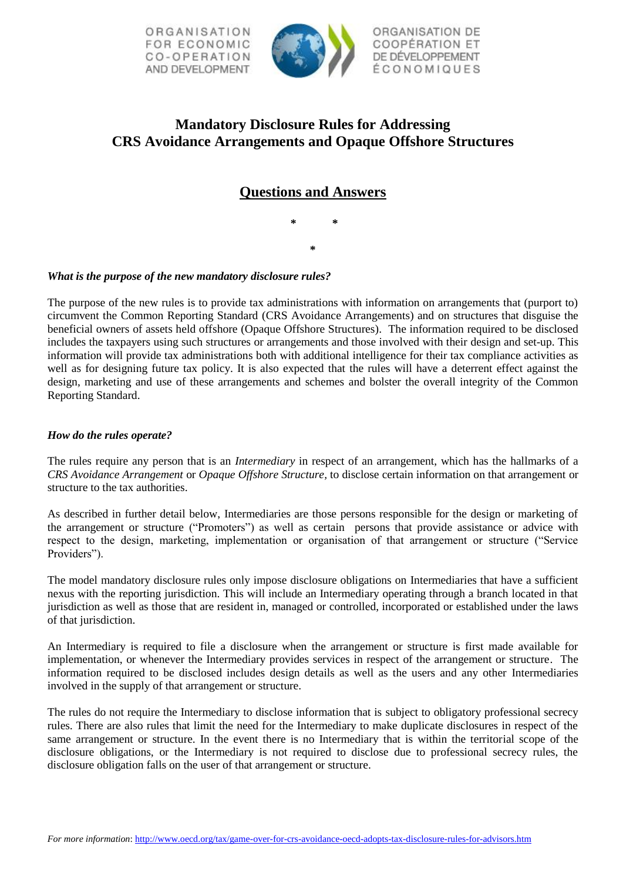



ORGANISATION DE **COOPÉRATION ET** DE DÉVELOPPEMENT ÉCONOMIQUES

# **Mandatory Disclosure Rules for Addressing CRS Avoidance Arrangements and Opaque Offshore Structures**

## **Questions and Answers**

**\* \* \***

## *What is the purpose of the new mandatory disclosure rules?*

The purpose of the new rules is to provide tax administrations with information on arrangements that (purport to) circumvent the Common Reporting Standard (CRS Avoidance Arrangements) and on structures that disguise the beneficial owners of assets held offshore (Opaque Offshore Structures). The information required to be disclosed includes the taxpayers using such structures or arrangements and those involved with their design and set-up. This information will provide tax administrations both with additional intelligence for their tax compliance activities as well as for designing future tax policy. It is also expected that the rules will have a deterrent effect against the design, marketing and use of these arrangements and schemes and bolster the overall integrity of the Common Reporting Standard.

## *How do the rules operate?*

The rules require any person that is an *Intermediary* in respect of an arrangement, which has the hallmarks of a *CRS Avoidance Arrangement* or *Opaque Offshore Structure,* to disclose certain information on that arrangement or structure to the tax authorities.

As described in further detail below, Intermediaries are those persons responsible for the design or marketing of the arrangement or structure ("Promoters") as well as certain persons that provide assistance or advice with respect to the design, marketing, implementation or organisation of that arrangement or structure ("Service Providers").

The model mandatory disclosure rules only impose disclosure obligations on Intermediaries that have a sufficient nexus with the reporting jurisdiction. This will include an Intermediary operating through a branch located in that jurisdiction as well as those that are resident in, managed or controlled, incorporated or established under the laws of that jurisdiction.

An Intermediary is required to file a disclosure when the arrangement or structure is first made available for implementation, or whenever the Intermediary provides services in respect of the arrangement or structure. The information required to be disclosed includes design details as well as the users and any other Intermediaries involved in the supply of that arrangement or structure.

The rules do not require the Intermediary to disclose information that is subject to obligatory professional secrecy rules. There are also rules that limit the need for the Intermediary to make duplicate disclosures in respect of the same arrangement or structure. In the event there is no Intermediary that is within the territorial scope of the disclosure obligations, or the Intermediary is not required to disclose due to professional secrecy rules, the disclosure obligation falls on the user of that arrangement or structure.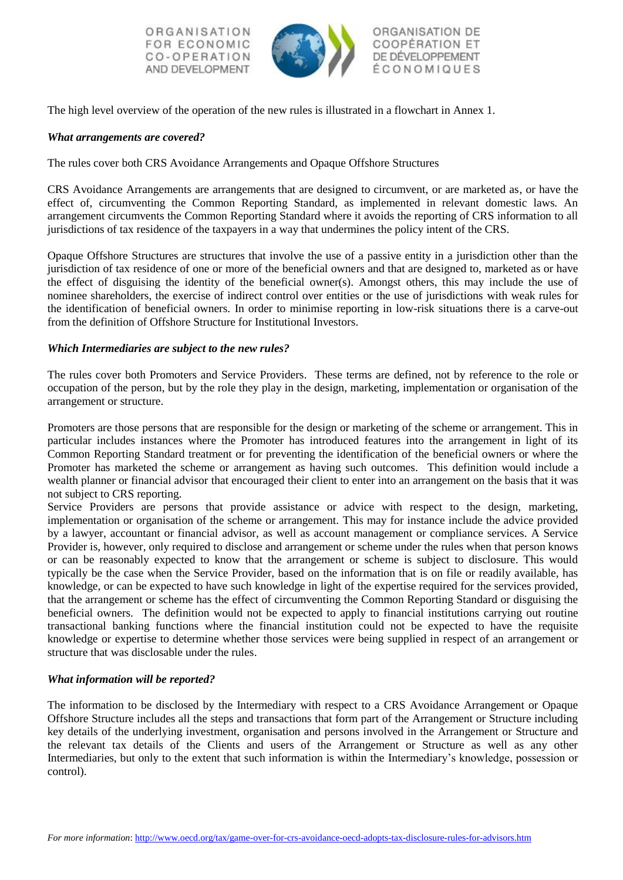ORGANISATION FOR ECONOMIC CO-OPERATION AND DEVELOPMENT



ORGANISATION DE **COOPÉRATION ET** DE DÉVELOPPEMENT ÉCONOMIQUES

The high level overview of the operation of the new rules is illustrated in a flowchart in Annex 1.

## *What arrangements are covered?*

The rules cover both CRS Avoidance Arrangements and Opaque Offshore Structures

CRS Avoidance Arrangements are arrangements that are designed to circumvent, or are marketed as, or have the effect of, circumventing the Common Reporting Standard, as implemented in relevant domestic laws. An arrangement circumvents the Common Reporting Standard where it avoids the reporting of CRS information to all jurisdictions of tax residence of the taxpayers in a way that undermines the policy intent of the CRS.

Opaque Offshore Structures are structures that involve the use of a passive entity in a jurisdiction other than the jurisdiction of tax residence of one or more of the beneficial owners and that are designed to, marketed as or have the effect of disguising the identity of the beneficial owner(s). Amongst others, this may include the use of nominee shareholders, the exercise of indirect control over entities or the use of jurisdictions with weak rules for the identification of beneficial owners. In order to minimise reporting in low-risk situations there is a carve-out from the definition of Offshore Structure for Institutional Investors.

## *Which Intermediaries are subject to the new rules?*

The rules cover both Promoters and Service Providers. These terms are defined, not by reference to the role or occupation of the person, but by the role they play in the design, marketing, implementation or organisation of the arrangement or structure.

Promoters are those persons that are responsible for the design or marketing of the scheme or arrangement. This in particular includes instances where the Promoter has introduced features into the arrangement in light of its Common Reporting Standard treatment or for preventing the identification of the beneficial owners or where the Promoter has marketed the scheme or arrangement as having such outcomes. This definition would include a wealth planner or financial advisor that encouraged their client to enter into an arrangement on the basis that it was not subject to CRS reporting.

Service Providers are persons that provide assistance or advice with respect to the design, marketing, implementation or organisation of the scheme or arrangement. This may for instance include the advice provided by a lawyer, accountant or financial advisor, as well as account management or compliance services. A Service Provider is, however, only required to disclose and arrangement or scheme under the rules when that person knows or can be reasonably expected to know that the arrangement or scheme is subject to disclosure. This would typically be the case when the Service Provider, based on the information that is on file or readily available, has knowledge, or can be expected to have such knowledge in light of the expertise required for the services provided, that the arrangement or scheme has the effect of circumventing the Common Reporting Standard or disguising the beneficial owners. The definition would not be expected to apply to financial institutions carrying out routine transactional banking functions where the financial institution could not be expected to have the requisite knowledge or expertise to determine whether those services were being supplied in respect of an arrangement or structure that was disclosable under the rules.

## *What information will be reported?*

The information to be disclosed by the Intermediary with respect to a CRS Avoidance Arrangement or Opaque Offshore Structure includes all the steps and transactions that form part of the Arrangement or Structure including key details of the underlying investment, organisation and persons involved in the Arrangement or Structure and the relevant tax details of the Clients and users of the Arrangement or Structure as well as any other Intermediaries, but only to the extent that such information is within the Intermediary's knowledge, possession or control).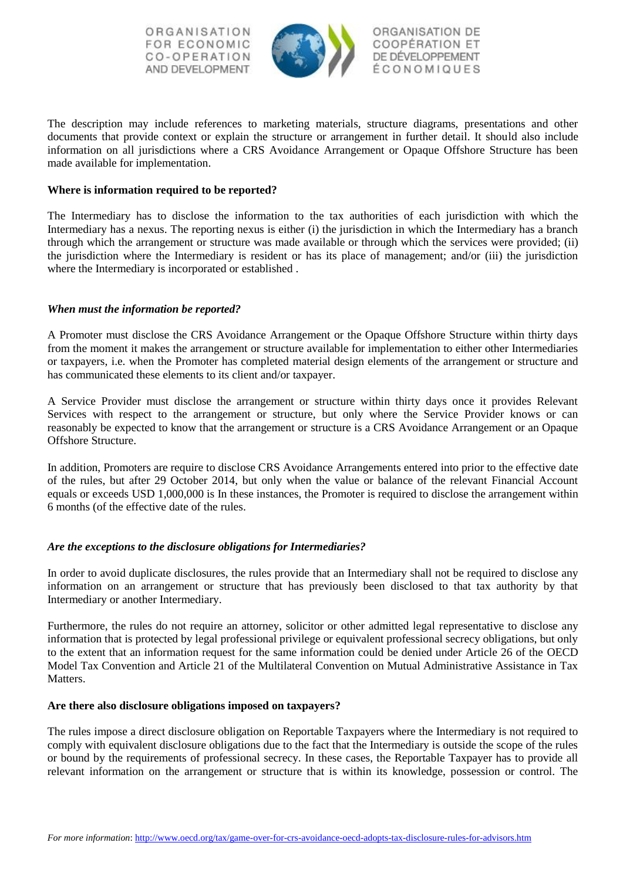ORGANISATION FOR ECONOMIC CO-OPERATION AND DEVELOPMENT



ORGANISATION DE **COOPÉRATION ET** DE DÉVELOPPEMENT ÉCONOMIQUES

The description may include references to marketing materials, structure diagrams, presentations and other documents that provide context or explain the structure or arrangement in further detail. It should also include information on all jurisdictions where a CRS Avoidance Arrangement or Opaque Offshore Structure has been made available for implementation.

## **Where is information required to be reported?**

The Intermediary has to disclose the information to the tax authorities of each jurisdiction with which the Intermediary has a nexus. The reporting nexus is either (i) the jurisdiction in which the Intermediary has a branch through which the arrangement or structure was made available or through which the services were provided; (ii) the jurisdiction where the Intermediary is resident or has its place of management; and/or (iii) the jurisdiction where the Intermediary is incorporated or established .

## *When must the information be reported?*

A Promoter must disclose the CRS Avoidance Arrangement or the Opaque Offshore Structure within thirty days from the moment it makes the arrangement or structure available for implementation to either other Intermediaries or taxpayers, i.e. when the Promoter has completed material design elements of the arrangement or structure and has communicated these elements to its client and/or taxpayer.

A Service Provider must disclose the arrangement or structure within thirty days once it provides Relevant Services with respect to the arrangement or structure, but only where the Service Provider knows or can reasonably be expected to know that the arrangement or structure is a CRS Avoidance Arrangement or an Opaque Offshore Structure.

In addition, Promoters are require to disclose CRS Avoidance Arrangements entered into prior to the effective date of the rules, but after 29 October 2014, but only when the value or balance of the relevant Financial Account equals or exceeds USD 1,000,000 is In these instances, the Promoter is required to disclose the arrangement within 6 months (of the effective date of the rules.

## *Are the exceptions to the disclosure obligations for Intermediaries?*

In order to avoid duplicate disclosures, the rules provide that an Intermediary shall not be required to disclose any information on an arrangement or structure that has previously been disclosed to that tax authority by that Intermediary or another Intermediary.

Furthermore, the rules do not require an attorney, solicitor or other admitted legal representative to disclose any information that is protected by legal professional privilege or equivalent professional secrecy obligations, but only to the extent that an information request for the same information could be denied under Article 26 of the OECD Model Tax Convention and Article 21 of the Multilateral Convention on Mutual Administrative Assistance in Tax Matters.

## **Are there also disclosure obligations imposed on taxpayers?**

The rules impose a direct disclosure obligation on Reportable Taxpayers where the Intermediary is not required to comply with equivalent disclosure obligations due to the fact that the Intermediary is outside the scope of the rules or bound by the requirements of professional secrecy. In these cases, the Reportable Taxpayer has to provide all relevant information on the arrangement or structure that is within its knowledge, possession or control. The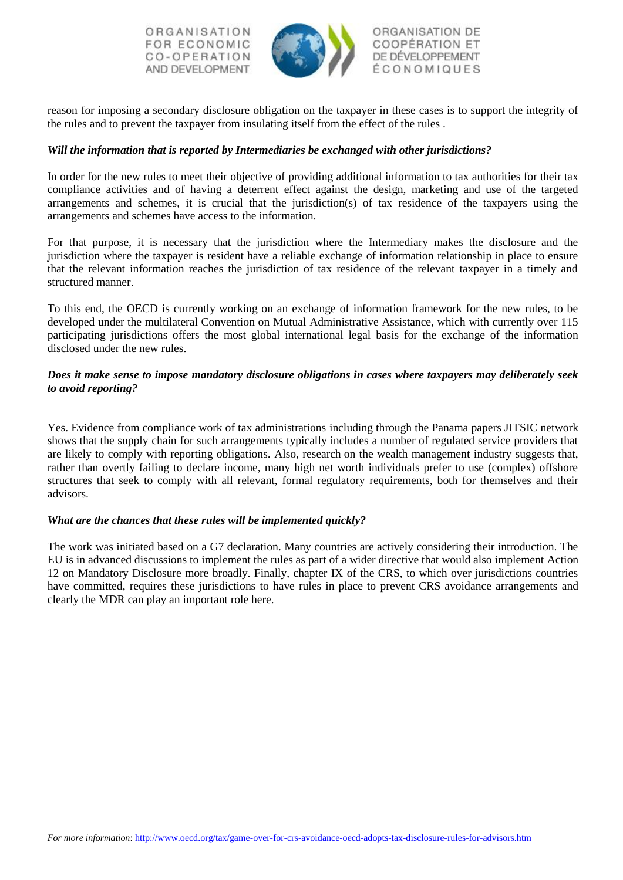ORGANISATION FOR ECONOMIC CO-OPERATION AND DEVELOPMENT



ORGANISATION DE **COOPÉRATION ET** DE DÉVELOPPEMENT ÉCONOMIQUES

reason for imposing a secondary disclosure obligation on the taxpayer in these cases is to support the integrity of the rules and to prevent the taxpayer from insulating itself from the effect of the rules .

## *Will the information that is reported by Intermediaries be exchanged with other jurisdictions?*

In order for the new rules to meet their objective of providing additional information to tax authorities for their tax compliance activities and of having a deterrent effect against the design, marketing and use of the targeted arrangements and schemes, it is crucial that the jurisdiction(s) of tax residence of the taxpayers using the arrangements and schemes have access to the information.

For that purpose, it is necessary that the jurisdiction where the Intermediary makes the disclosure and the jurisdiction where the taxpayer is resident have a reliable exchange of information relationship in place to ensure that the relevant information reaches the jurisdiction of tax residence of the relevant taxpayer in a timely and structured manner.

To this end, the OECD is currently working on an exchange of information framework for the new rules, to be developed under the multilateral Convention on Mutual Administrative Assistance, which with currently over 115 participating jurisdictions offers the most global international legal basis for the exchange of the information disclosed under the new rules.

## *Does it make sense to impose mandatory disclosure obligations in cases where taxpayers may deliberately seek to avoid reporting?*

Yes. Evidence from compliance work of tax administrations including through the Panama papers JITSIC network shows that the supply chain for such arrangements typically includes a number of regulated service providers that are likely to comply with reporting obligations. Also, research on the wealth management industry suggests that, rather than overtly failing to declare income, many high net worth individuals prefer to use (complex) offshore structures that seek to comply with all relevant, formal regulatory requirements, both for themselves and their advisors.

## *What are the chances that these rules will be implemented quickly?*

The work was initiated based on a G7 declaration. Many countries are actively considering their introduction. The EU is in advanced discussions to implement the rules as part of a wider directive that would also implement Action 12 on Mandatory Disclosure more broadly. Finally, chapter IX of the CRS, to which over jurisdictions countries have committed, requires these jurisdictions to have rules in place to prevent CRS avoidance arrangements and clearly the MDR can play an important role here.